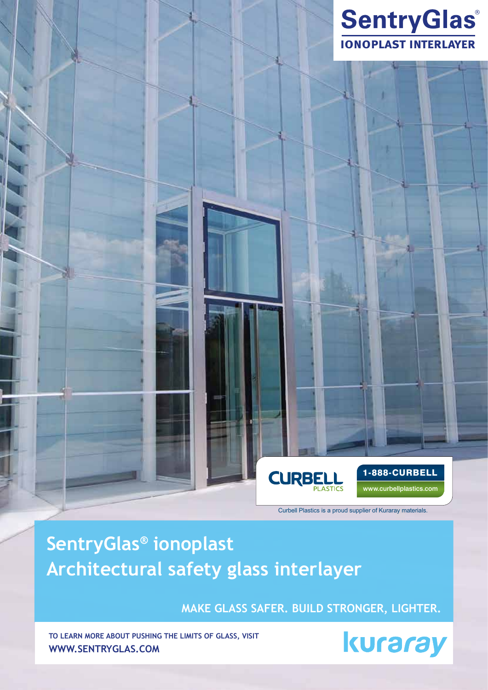

**SentryGlas® ionoplast Architectural safety glass interlayer**

**MAKE GLASS SAFER. BUILD STRONGER, LIGHTER.**

**CURB** 

**To learn more about pushing the limits of glass, visit www.sentryglas.com**



1-888-CURBELL

www.curbellplastics.com

Curbell Plastics is a proud supplier of Kuraray materials.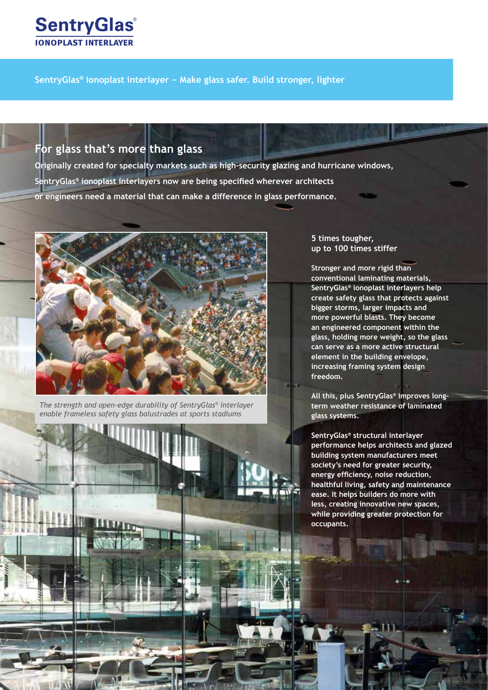

### **For glass that's more than glass**

**Originally created for specialty markets such as high-security glazing and hurricane windows, SentryGlas® ionoplast interlayers now are being specified wherever architects or engineers need a material that can make a difference in glass performance.**



*The strength and open-edge durability of SentryGlas® interlayer enable frameless safety glass balustrades at sports stadiums*

### **5 times tougher, up to 100 times stiffer**

**Stronger and more rigid than conventional laminating materials, SentryGlas® ionoplast interlayers help create safety glass that protects against bigger storms, larger impacts and more powerful blasts. They become an engineered component within the glass, holding more weight, so the glass can serve as a more active structural element in the building envelope, increasing framing system design freedom.**

**All this, plus SentryGlas® improves longterm weather resistance of laminated glass systems.** 

**SentryGlas® structural interlayer performance helps architects and glazed building system manufacturers meet society's need for greater security, energy efficiency, noise reduction, healthful living, safety and maintenance ease. It helps builders do more with less, creating innovative new spaces, while providing greater protection for occupants.**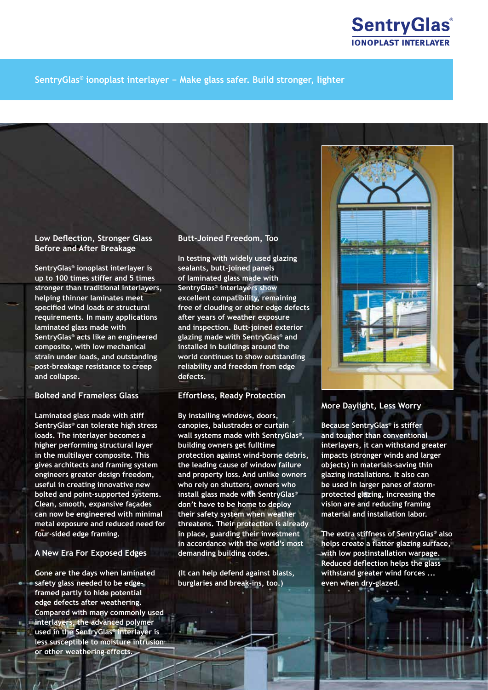

### **Low Deflection, Stronger Glass Before and After Breakage**

**SentryGlas® ionoplast interlayer is up to 100 times stiffer and 5 times stronger than traditional interlayers, helping thinner laminates meet specified wind loads or structural requirements. In many applications laminated glass made with SentryGlas® acts like an engineered composite, with low mechanical strain under loads, and outstanding post-breakage resistance to creep and collapse.**

### **Bolted and Frameless Glass**

**Laminated glass made with stiff SentryGlas® can tolerate high stress loads. The interlayer becomes a higher performing structural layer in the multilayer composite. This gives architects and framing system engineers greater design freedom, useful in creating innovative new bolted and point-supported systems. Clean, smooth, expansive façades can now be engineered with minimal metal exposure and reduced need for four-sided edge framing.**

### **A New Era For Exposed Edges**

**Gone are the days when laminated safety glass needed to be edgeframed partly to hide potential edge defects after weathering. Compared with many commonly used interlayers, the advanced polymer used in the SentryGlas® interlayer is less susceptible to moisture intrusion or other weathering effects.**

### **Butt-Joined Freedom, Too**

**In testing with widely used glazing sealants, butt-joined panels of laminated glass made with SentryGlas® interlayers show excellent compatibility, remaining free of clouding or other edge defects after years of weather exposure and inspection. Butt-joined exterior glazing made with SentryGlas® and installed in buildings around the world continues to show outstanding reliability and freedom from edge defects.**

#### **Effortless, Ready Protection**

**By installing windows, doors, canopies, balustrades or curtain wall systems made with SentryGlas®, building owners get fulltime protection against wind-borne debris, the leading cause of window failure and property loss. And unlike owners who rely on shutters, owners who install glass made with SentryGlas® don't have to be home to deploy their safety system when weather threatens. Their protection is already in place, guarding their investment in accordance with the world's most demanding building codes.**

**(It can help defend against blasts, burglaries and break-ins, too.)**

 $H_{\rm max}$ 



### **More Daylight, Less Worry**

**Because SentryGlas® is stiffer and tougher than conventional interlayers, it can withstand greater impacts (stronger winds and larger objects) in materials-saving thin glazing installations. It also can be used in larger panes of stormprotected glazing, increasing the vision are and reducing framing material and installation labor.**

**The extra stiffness of SentryGlas® also helps create a flatter glazing surface, with low postinstallation warpage. Reduced deflection helps the glass withstand greater wind forces ... even when dry-glazed.**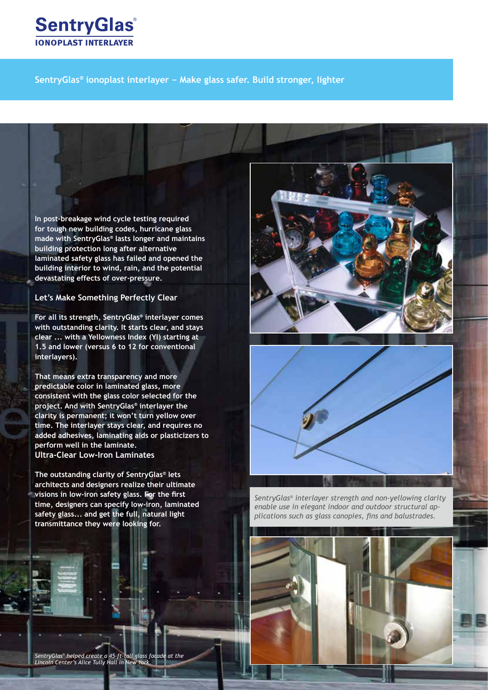

**In post-breakage wind cycle testing required for tough new building codes, hurricane glass made with SentryGlas® lasts longer and maintains building protection long after alternative laminated safety glass has failed and opened the building interior to wind, rain, and the potential devastating effects of over-pressure.** 

**Let's Make Something Perfectly Clear**

**For all its strength, SentryGlas® interlayer comes with outstanding clarity. It starts clear, and stays clear ... with a Yellowness Index (YI) starting at 1.5 and lower (versus 6 to 12 for conventional interlayers).** 

**That means extra transparency and more predictable color in laminated glass, more consistent with the glass color selected for the project. And with SentryGlas® interlayer the clarity is permanent; it won't turn yellow over time. The interlayer stays clear, and requires no added adhesives, laminating aids or plasticizers to perform well in the laminate. Ultra-Clear Low-Iron Laminates**

**The outstanding clarity of SentryGlas® lets architects and designers realize their ultimate visions in low-iron safety glass. For the first time, designers can specify low-iron, laminated safety glass... and get the full, natural light transmittance they were looking for.**





*SentryGlas® interlayer strength and non-yellowing clarity enable use in elegant indoor and outdoor structural applications such as glass canopies, fins and balustrades.*

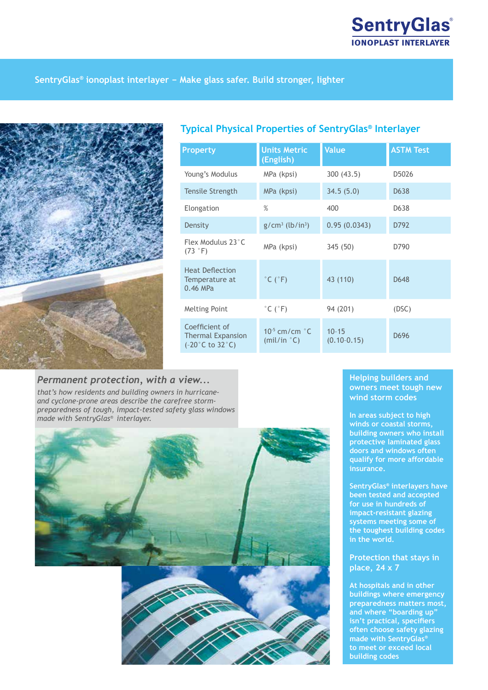

### **Typical Physical Properties of SentryGlas® Interlayer**

| Property                                                                           | <b>Units Metric</b><br>(English)            | <b>Value</b>                 | <b>ASTM Test</b>  |
|------------------------------------------------------------------------------------|---------------------------------------------|------------------------------|-------------------|
| Young's Modulus                                                                    | MPa (kpsi)                                  | 300(43.5)                    | D5026             |
| Tensile Strength                                                                   | MPa (kpsi)                                  | 34.5(5.0)                    | D <sub>6</sub> 38 |
| Elongation                                                                         | $\%$                                        | 400                          | D638              |
| Density                                                                            | $g/cm^3$ (lb/in <sup>3</sup> )              | 0.95(0.0343)                 | D792              |
| Flex Modulus 23°C<br>$(73 \degree F)$                                              | MPa (kpsi)                                  | 345 (50)                     | D790              |
| <b>Heat Deflection</b><br>Temperature at<br>$0.46$ MPa                             | $^{\circ}$ C ( $^{\circ}$ F)                | 43 (110)                     | D648              |
| <b>Melting Point</b>                                                               | $^{\circ}$ C ( $^{\circ}$ F)                | 94 (201)                     | (DSC)             |
| Coefficient of<br><b>Thermal Expansion</b><br>$(-20^{\circ}$ C to 32 $^{\circ}$ C) | $10^{-5}$ cm/cm $^{\circ}$ C<br>(mil/in °C) | $10 - 15$<br>$(0.10 - 0.15)$ | D696              |

# *Permanent protection, with a view...*

*that's how residents and building owners in hurricaneand cyclone-prone areas describe the carefree stormpreparedness of tough, impact-tested safety glass windows made with SentryGlas® interlayer.*



### **Helping builders and owners meet tough new wind storm codes**

**In areas subject to high winds or coastal storms, building owners who install protective laminated glass doors and windows often qualify for more affordable insurance.**

**SentryGlas® interlayers have been tested and accepted for use in hundreds of impact-resistant glazing systems meeting some of the toughest building codes in the world.**

### **Protection that stays in place, 24 x 7**

**At hospitals and in other buildings where emergency preparedness matters most, and where "boarding up" isn't practical, specifiers often choose safety glazing made with SentryGlas® to meet or exceed local building codes**